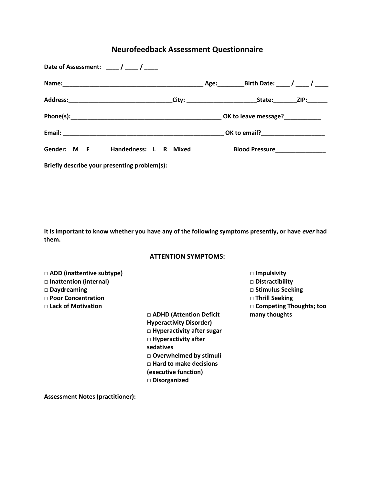# **Neurofeedback Assessment Questionnaire**

| Date of Assessment: $\frac{1}{2}$ / $\frac{1}{2}$ / $\frac{1}{2}$ |                                                                                                          |
|-------------------------------------------------------------------|----------------------------------------------------------------------------------------------------------|
|                                                                   |                                                                                                          |
|                                                                   | Address:__________________________________City: ___________________________State:__________ZIP:_________ |
|                                                                   |                                                                                                          |
|                                                                   |                                                                                                          |
| Gender: M F Handedness: L R Mixed                                 | Blood Pressure___________________                                                                        |
| Briefly describe your presenting problem(s):                      |                                                                                                          |

**It is important to know whether you have any of the following symptoms presently, or have** *ever* **had them.** 

## **ATTENTION SYMPTOMS:**

**□ ADD (inattentive subtype)** 

- **□ Inattention (internal)**
- **□ Daydreaming**
- **□ Poor Concentration**
- **□ Lack of Motivation**

**□ ADHD (Attention Deficit Hyperactivity Disorder) □ Hyperactivity after sugar □ Hyperactivity after sedatives □ Overwhelmed by stimuli □ Hard to make decisions (executive function) □ Disorganized**

- **□ Impulsivity**
- **□ Distractibility**
- **□ Stimulus Seeking**
- **□ Thrill Seeking**
- **□ Competing Thoughts; too**
- **many thoughts**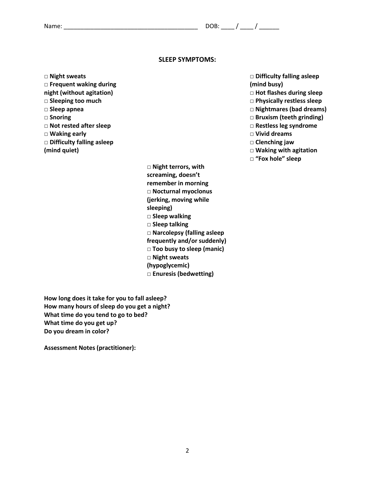#### **SLEEP SYMPTOMS:**

**□ Night sweats** 

**□ Frequent waking during night (without agitation) □ Sleeping too much □ Sleep apnea □ Snoring □ Not rested after sleep □ Waking early**

**□ Difficulty falling asleep (mind quiet)**

> **□ Night terrors, with screaming, doesn't remember in morning □ Nocturnal myoclonus (jerking, moving while sleeping) □ Sleep walking □ Sleep talking □ Narcolepsy (falling asleep frequently and/or suddenly) □ Too busy to sleep (manic) □ Night sweats (hypoglycemic) □ Enuresis (bedwetting)**

**How long does it take for you to fall asleep? How many hours of sleep do you get a night? What time do you tend to go to bed? What time do you get up? Do you dream in color?**

- **□ Difficulty falling asleep (mind busy)**
- **□ Hot flashes during sleep**
- **□ Physically restless sleep**
- **□ Nightmares (bad dreams)**
- **□ Bruxism (teeth grinding)**
- **□ Restless leg syndrome**
- **□ Vivid dreams**
- **□ Clenching jaw**
- **□ Waking with agitation**
- **□ "Fox hole" sleep**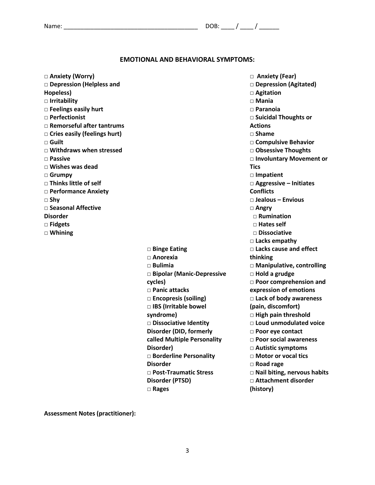## **EMOTIONAL AND BEHAVIORAL SYMPTOMS:**

| □ Anxiety (Worry)                |                             | □ Anxiety (Fear)                   |
|----------------------------------|-----------------------------|------------------------------------|
| □ Depression (Helpless and       |                             | Depression (Agitated)              |
| Hopeless)                        |                             | □ Agitation                        |
| $\Box$ Irritability              |                             | $\Box$ Mania                       |
| $\square$ Feelings easily hurt   |                             | $\Box$ Paranoia                    |
| $\Box$ Perfectionist             |                             | □ Suicidal Thoughts or             |
| $\Box$ Remorseful after tantrums |                             | <b>Actions</b>                     |
| □ Cries easily (feelings hurt)   |                             | $\square$ Shame                    |
| $\Box$ Guilt                     |                             | □ Compulsive Behavior              |
| $\Box$ Withdraws when stressed   |                             | □ Obsessive Thoughts               |
| $\Box$ Passive                   |                             | □ Involuntary Movement or          |
| $\Box$ Wishes was dead           |                             | <b>Tics</b>                        |
| $\Box$ Grumpy                    |                             | □ Impatient                        |
| $\Box$ Thinks little of self     |                             | □ Aggressive - Initiates           |
| <b>D</b> Performance Anxiety     |                             | <b>Conflicts</b>                   |
| $\square$ Shy                    |                             | □ Jealous - Envious                |
| $\Box$ Seasonal Affective        |                             | $\Box$ Angry                       |
| <b>Disorder</b>                  |                             | $\Box$ Rumination                  |
| $\square$ Fidgets                |                             | $\Box$ Hates self                  |
| $\Box$ Whining                   |                             | $\Box$ Dissociative                |
|                                  |                             | $\Box$ Lacks empathy               |
|                                  | □ Binge Eating              | $\Box$ Lacks cause and effect      |
|                                  | $\Box$ Anorexia             | thinking                           |
|                                  | $\square$ Bulimia           | □ Manipulative, controlling        |
|                                  | □ Bipolar (Manic-Depressive | $\Box$ Hold a grudge               |
|                                  | cycles)                     | <b>D</b> Poor comprehension and    |
|                                  | □ Panic attacks             | expression of emotions             |
|                                  | $\Box$ Encopresis (soiling) | $\square$ Lack of body awareness   |
|                                  | □ IBS (Irritable bowel      | (pain, discomfort)                 |
|                                  | syndrome)                   | $\Box$ High pain threshold         |
|                                  | □ Dissociative Identity     | □ Loud unmodulated voice           |
|                                  | Disorder (DID, formerly     | $\Box$ Poor eye contact            |
|                                  | called Multiple Personality | <b>D</b> Poor social awareness     |
|                                  | Disorder)                   | □ Autistic symptoms                |
|                                  | □ Borderline Personality    | □ Motor or vocal tics              |
|                                  | <b>Disorder</b>             | $\Box$ Road rage                   |
|                                  | □ Post-Traumatic Stress     | $\Box$ Nail biting, nervous habits |
|                                  | Disorder (PTSD)             | □ Attachment disorder              |
|                                  | $\Box$ Rages                | (history)                          |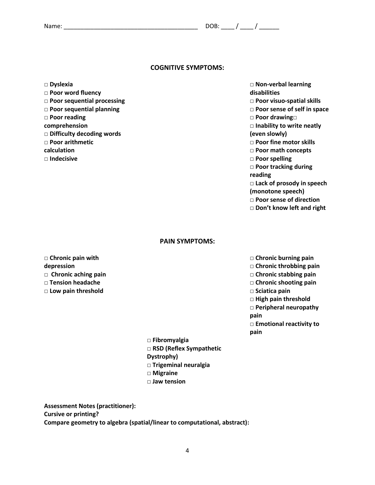### **COGNITIVE SYMPTOMS:**

**□ Dyslexia**

**□ Poor word fluency □ Poor sequential processing □ Poor sequential planning □ Poor reading comprehension □ Difficulty decoding words □ Poor arithmetic calculation □ Indecisive**

**□ Non-verbal learning disabilities**

**□ Poor visuo-spatial skills**

**□ Poor sense of self in space**

**□ Poor drawing□** 

**□ Inability to write neatly (even slowly)**

**□ Poor fine motor skills**

**□ Poor math concepts**

**□ Poor spelling**

**□ Poor tracking during** 

**reading**

**□ Lack of prosody in speech** 

**(monotone speech)**

**□ Poor sense of direction**

**□ Don't know left and right**

#### **PAIN SYMPTOMS:**

**□ Chronic pain with depression □ Chronic aching pain □ Tension headache**

**□ Low pain threshold**

**□ Chronic burning pain**

**□ Chronic throbbing pain**

**□ Chronic stabbing pain**

- **□ Chronic shooting pain**
- **□ Sciatica pain**

**□ High pain threshold**

**□ Peripheral neuropathy** 

**pain**

**□ Emotional reactivity to pain**

**□ Fibromyalgia □ RSD (Reflex Sympathetic Dystrophy) □ Trigeminal neuralgia □ Migraine □ Jaw tension**

**Assessment Notes (practitioner): Cursive or printing? Compare geometry to algebra (spatial/linear to computational, abstract):**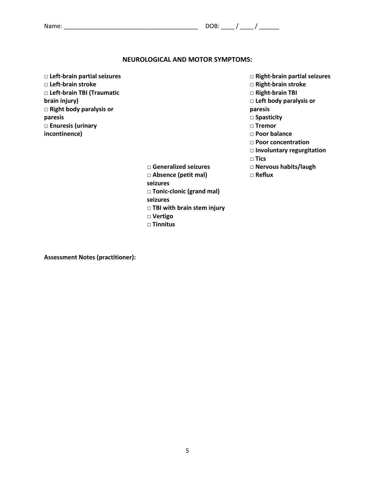### **NEUROLOGICAL AND MOTOR SYMPTOMS:**

**□ Left-brain partial seizures □ Left-brain stroke □ Left-brain TBI (Traumatic brain injury) □ Right body paralysis or paresis □ Enuresis (urinary incontinence)**

- **□ Right-brain partial seizures**
- **□ Right-brain stroke**
- **□ Right-brain TBI**
- **□ Left body paralysis or**
- **paresis**
- **□ Spasticity**
- **□ Tremor**
- **□ Poor balance**
- **□ Poor concentration**
- **□ Involuntary regurgitation**
- **□ Tics**
- **□ Nervous habits/laugh**
- **□ Reflux**
- **□ Generalized seizures**
- **□ Absence (petit mal)**
- **seizures**
- **□ Tonic-clonic (grand mal)**
- **seizures**
- **□ TBI with brain stem injury**
- **□ Vertigo**
- **□ Tinnitus**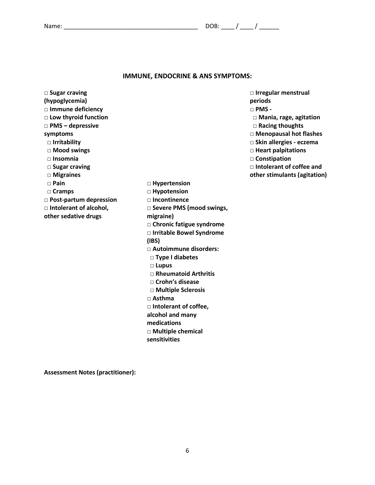### **IMMUNE, ENDOCRINE & ANS SYMPTOMS:**

**□ Hypertension □ Hypotension □ Incontinence**

**migraine)**

 **□ Lupus**

**□ Asthma**

**sensitivities**

**(IBS)**

**□ Severe PMS (mood swings,** 

**□ Chronic fatigue syndrome □ Irritable Bowel Syndrome** 

**□ Autoimmune disorders:**

 **□ Rheumatoid Arthritis □ Crohn's disease □ Multiple Sclerosis**

□ **Intolerant of coffee, alcohol and many medications**

**□ Multiple chemical** 

 **□ Type I diabetes**

**□ Sugar craving (hypoglycemia) □ Immune deficiency □ Low thyroid function □ PMS – depressive symptoms □ Irritability** □ **Mood swings □ Insomnia □ Sugar craving □ Migraines □ Pain □ Cramps □ Post-partum depression □ Intolerant of alcohol, other sedative drugs**

**□ PMS - □ Mania, rage, agitation □ Racing thoughts □ Menopausal hot flashes □ Skin allergies - eczema □ Heart palpitations □ Constipation □ Intolerant of coffee and other stimulants (agitation)**

**□ Irregular menstrual** 

**periods**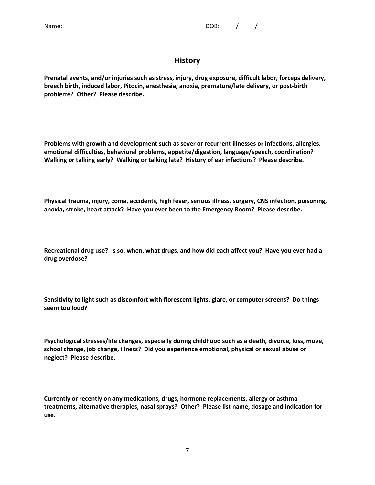## **History**

**Prenatal events, and/or injuries such as stress, injury, drug exposure, difficult labor, forceps delivery, breech birth, induced labor, Pitocin, anesthesia, anoxia, premature/late delivery, or post-birth problems? Other? Please describe.** 

**Problems with growth and development such as sever or recurrent illnesses or infections, allergies, emotional difficulties, behavioral problems, appetite/digestion, language/speech, coordination? Walking or talking early? Walking or talking late? History of ear infections? Please describe.** 

**Physical trauma, injury, coma, accidents, high fever, serious illness, surgery, CNS infection, poisoning, anoxia, stroke, heart attack? Have you ever been to the Emergency Room? Please describe.** 

**Recreational drug use? Is so, when, what drugs, and how did each affect you? Have you ever had a drug overdose?** 

**Sensitivity to light such as discomfort with florescent lights, glare, or computer screens? Do things seem too loud?** 

**Psychological stresses/life changes, especially during childhood such as a death, divorce, loss, move, school change, job change, illness? Did you experience emotional, physical or sexual abuse or neglect? Please describe.** 

**Currently or recently on any medications, drugs, hormone replacements, allergy or asthma treatments, alternative therapies, nasal sprays? Other? Please list name, dosage and indication for use.**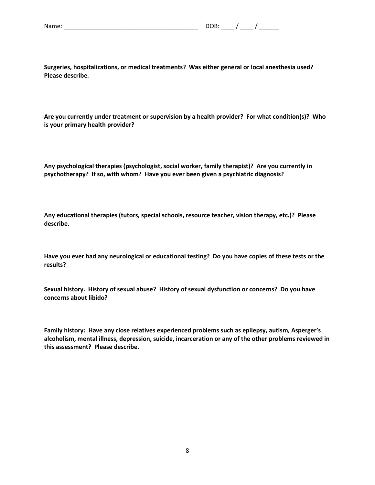| Name: |  |  |  |
|-------|--|--|--|
|       |  |  |  |
|       |  |  |  |

**Surgeries, hospitalizations, or medical treatments? Was either general or local anesthesia used? Please describe.** 

**Are you currently under treatment or supervision by a health provider? For what condition(s)? Who is your primary health provider?**

**Any psychological therapies (psychologist, social worker, family therapist)? Are you currently in psychotherapy? If so, with whom? Have you ever been given a psychiatric diagnosis?** 

**Any educational therapies (tutors, special schools, resource teacher, vision therapy, etc.)? Please describe.** 

**Have you ever had any neurological or educational testing? Do you have copies of these tests or the results?** 

**Sexual history. History of sexual abuse? History of sexual dysfunction or concerns? Do you have concerns about libido?** 

**Family history: Have any close relatives experienced problems such as epilepsy, autism, Asperger's alcoholism, mental illness, depression, suicide, incarceration or any of the other problems reviewed in this assessment? Please describe.**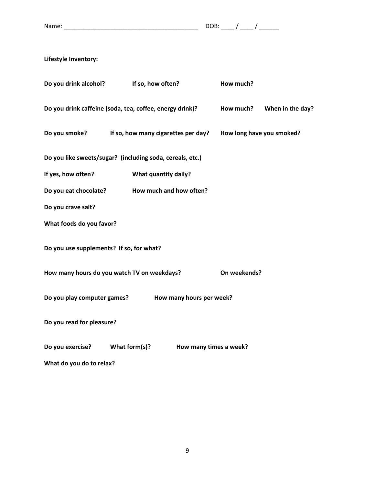Name: \_\_\_\_\_\_\_\_\_\_\_\_\_\_\_\_\_\_\_\_\_\_\_\_\_\_\_\_\_\_\_\_\_\_\_\_\_\_\_\_ DOB: \_\_\_\_ / \_\_\_\_ / \_\_\_\_\_\_

**Lifestyle Inventory:**

| Do you drink alcohol?                    | If so, how often?                                         |                          | How much?                 |                  |
|------------------------------------------|-----------------------------------------------------------|--------------------------|---------------------------|------------------|
|                                          | Do you drink caffeine (soda, tea, coffee, energy drink)?  |                          | How much?                 | When in the day? |
| Do you smoke?                            | If so, how many cigarettes per day?                       |                          | How long have you smoked? |                  |
|                                          | Do you like sweets/sugar? (including soda, cereals, etc.) |                          |                           |                  |
| If yes, how often?                       | What quantity daily?                                      |                          |                           |                  |
| Do you eat chocolate?                    | How much and how often?                                   |                          |                           |                  |
| Do you crave salt?                       |                                                           |                          |                           |                  |
| What foods do you favor?                 |                                                           |                          |                           |                  |
| Do you use supplements? If so, for what? |                                                           |                          |                           |                  |
|                                          | How many hours do you watch TV on weekdays?               |                          | On weekends?              |                  |
| Do you play computer games?              |                                                           | How many hours per week? |                           |                  |
| Do you read for pleasure?                |                                                           |                          |                           |                  |
| Do you exercise?                         | What form(s)?                                             | How many times a week?   |                           |                  |
| What do you do to relax?                 |                                                           |                          |                           |                  |